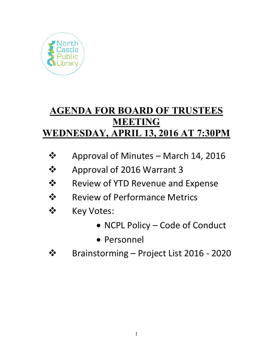

# **AGENDA FOR BOARD OF TRUSTEES MEETING WEDNESDAY, APRIL 13, 2016 AT 7:30PM**

- $\div$  Approval of Minutes March 14, 2016
- **❖** Approval of 2016 Warrant 3
- $\dots$  Review of YTD Revenue and Expense
- **❖** Review of Performance Metrics
- ❖ Key Votes:
	- NCPL Policy Code of Conduct
	- Personnel
- Brainstorming Project List 2016 ‐ 2020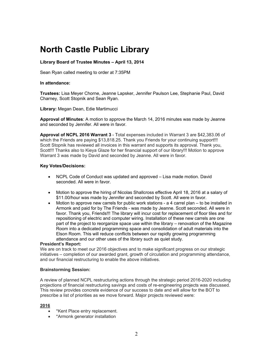# **North Castle Public Library**

## **Library Board of Trustee Minutes – April 13, 2014**

Sean Ryan called meeting to order at 7:35PM

#### **In attendance:**

**Trustees:** Lisa Meyer Chorne, Jeanne Lapsker, Jennifer Paulson Lee, Stephanie Paul, David Charney, Scott Stopnik and Sean Ryan.

**Library:** Megan Dean, Edie Martimucci

**Approval of Minutes**: A motion to approve the March 14, 2016 minutes was made by Jeanne and seconded by Jennifer. All were in favor.

**Approval of NCPL 2016 Warrant 3** - Total expenses included in Warrant 3 are \$42,383.06 of which the Friends are paying \$13,818.25. Thank you Friends for your continuing support!!! Scott Stopnik has reviewed all invoices in this warrant and supports its approval. Thank you, Scott!!! Thanks also to Kieya Glaze for her financial support of our library!!! Motion to approve Warrant 3 was made by David and seconded by Jeanne. All were in favor.

#### **Key Votes/Decisions:**

- NCPL Code of Conduct was updated and approved Lisa made motion. David seconded. All were in favor.
- Motion to approve the hiring of Nicolas Shallcross effective April 18, 2016 at a salary of \$11.00/hour was made by Jennifer and seconded by Scott. All were in favor.
- Motion to approve new carrels for public work stations a 4 carrel plan to be installed in Armonk and paid for by The Friends - was made by Jeanne. Scott seconded. All were in favor. Thank you, Friends!!! The library will incur cost for replacement of floor tiles and for repositioning of electric and computer wiring. Installation of these new carrels are one part of the project to reorganize space use within the library – renovation of the Magazine Room into a dedicated programming space and consolidation of adult materials into the Elson Room. This will reduce conflicts between our rapidly growing programming attendance and our other uses of the library such as quiet study.

#### **President's Report:**

We are on track to meet our 2016 objectives and to make significant progress on our strategic initiatives – completion of our awarded grant, growth of circulation and programming attendance, and our financial restructuring to enable the above initiatives.

#### **Brainstorming Session:**

A review of planned NCPL restructuring actions through the strategic period 2016-2020 including projections of financial restructuring savings and costs of re-engineering projects was discussed. This review provides concrete evidence of our success to date and will allow for the BOT to prescribe a list of priorities as we move forward. Major projects reviewed were:

#### **2016**

- \*Kent Place entry replacement.
- \*Armonk generator installation